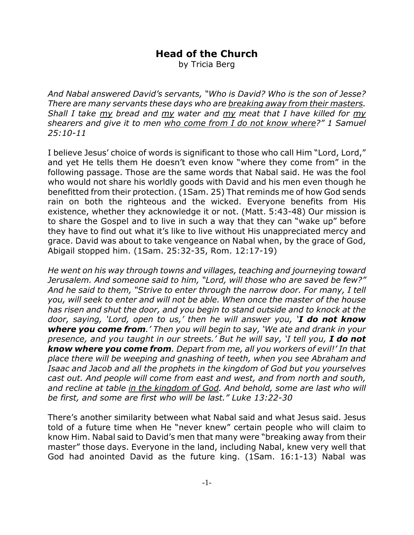## **Head of the Church**

by Tricia Berg

*And Nabal answered David's servants, "Who is David? Who is the son of Jesse? There are many servants these days who are breaking away from their masters. Shall I take my bread and my water and my meat that I have killed for my shearers and give it to men who come from I do not know where?" 1 Samuel 25:10-11*

I believe Jesus' choice of words is significant to those who call Him "Lord, Lord," and yet He tells them He doesn't even know "where they come from" in the following passage. Those are the same words that Nabal said. He was the fool who would not share his worldly goods with David and his men even though he benefitted from their protection. (1Sam. 25) That reminds me of how God sends rain on both the righteous and the wicked. Everyone benefits from His existence, whether they acknowledge it or not. (Matt. 5:43-48) Our mission is to share the Gospel and to live in such a way that they can "wake up" before they have to find out what it's like to live without His unappreciated mercy and grace. David was about to take vengeance on Nabal when, by the grace of God, Abigail stopped him. (1Sam. 25:32-35, Rom. 12:17-19)

*He went on his way through towns and villages, teaching and journeying toward Jerusalem. And someone said to him, "Lord, will those who are saved be few?" And he said to them, "Strive to enter through the narrow door. For many, I tell you, will seek to enter and will not be able. When once the master of the house has risen and shut the door, and you begin to stand outside and to knock at the door, saying, 'Lord, open to us,' then he will answer you, 'I do not know where you come from.' Then you will begin to say, 'We ate and drank in your presence, and you taught in our streets.' But he will say, 'I tell you, I do not know where you come from. Depart from me, all you workers of evil!' In that place there will be weeping and gnashing of teeth, when you see Abraham and Isaac and Jacob and all the prophets in the kingdom of God but you yourselves cast out. And people will come from east and west, and from north and south, and recline at table in the kingdom of God. And behold, some are last who will be first, and some are first who will be last." Luke 13:22-30*

There's another similarity between what Nabal said and what Jesus said. Jesus told of a future time when He "never knew" certain people who will claim to know Him. Nabal said to David's men that many were "breaking away from their master" those days. Everyone in the land, including Nabal, knew very well that God had anointed David as the future king. (1Sam. 16:1-13) Nabal was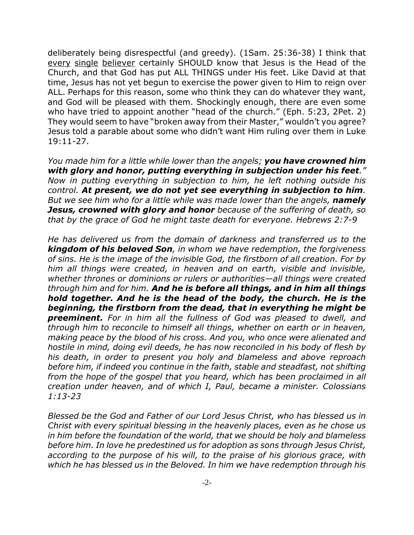deliberately being disrespectful (and greedy). (1Sam. 25:36-38) I think that every single believer certainly SHOULD know that Jesus is the Head of the Church, and that God has put ALL THINGS under His feet. Like David at that time, Jesus has not yet begun to exercise the power given to Him to reign over ALL. Perhaps for this reason, some who think they can do whatever they want, and God will be pleased with them. Shockingly enough, there are even some who have tried to appoint another "head of the church." (Eph. 5:23, 2Pet. 2) They would seem to have "broken away from their Master," wouldn't you agree? Jesus told a parable about some who didn't want Him ruling over them in Luke 19:11-27.

*You made him for a little while lower than the angels; you have crowned him with glory and honor, putting everything in subjection under his feet." Now in putting everything in subjection to him, he left nothing outside his control. At present, we do not yet see everything in subjection to him. But we see him who for a little while was made lower than the angels, namely Jesus, crowned with glory and honor because of the suffering of death, so that by the grace of God he might taste death for everyone. Hebrews 2:7-9*

*He has delivered us from the domain of darkness and transferred us to the kingdom of his beloved Son, in whom we have redemption, the forgiveness of sins. He is the image of the invisible God, the firstborn of all creation. For by him all things were created, in heaven and on earth, visible and invisible, whether thrones or dominions or rulers or authorities—all things were created through him and for him. And he is before all things, and in him all things hold together. And he is the head of the body, the church. He is the beginning, the firstborn from the dead, that in everything he might be preeminent. For in him all the fullness of God was pleased to dwell, and through him to reconcile to himself all things, whether on earth or in heaven, making peace by the blood of his cross. And you, who once were alienated and hostile in mind, doing evil deeds, he has now reconciled in his body of flesh by his death, in order to present you holy and blameless and above reproach before him, if indeed you continue in the faith, stable and steadfast, not shifting from the hope of the gospel that you heard, which has been proclaimed in all creation under heaven, and of which I, Paul, became a minister. Colossians 1:13-23*

*Blessed be the God and Father of our Lord Jesus Christ, who has blessed us in Christ with every spiritual blessing in the heavenly places, even as he chose us in him before the foundation of the world, that we should be holy and blameless before him. In love he predestined us for adoption as sons through Jesus Christ, according to the purpose of his will, to the praise of his glorious grace, with which he has blessed us in the Beloved. In him we have redemption through his*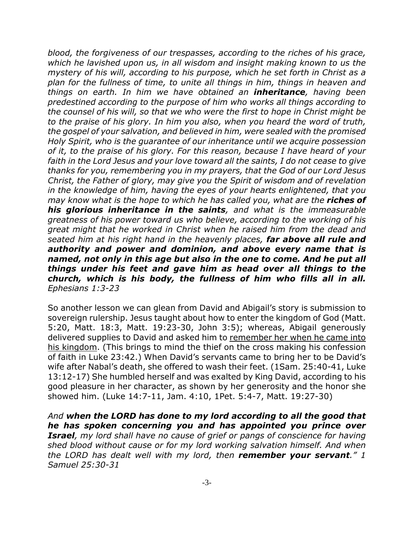*blood, the forgiveness of our trespasses, according to the riches of his grace, which he lavished upon us, in all wisdom and insight making known to us the mystery of his will, according to his purpose, which he set forth in Christ as a plan for the fullness of time, to unite all things in him, things in heaven and things on earth. In him we have obtained an inheritance, having been predestined according to the purpose of him who works all things according to the counsel of his will, so that we who were the first to hope in Christ might be to the praise of his glory. In him you also, when you heard the word of truth, the gospel of your salvation, and believed in him, were sealed with the promised Holy Spirit, who is the guarantee of our inheritance until we acquire possession of it, to the praise of his glory. For this reason, because I have heard of your faith in the Lord Jesus and your love toward all the saints, I do not cease to give thanks for you, remembering you in my prayers, that the God of our Lord Jesus Christ, the Father of glory, may give you the Spirit of wisdom and of revelation in the knowledge of him, having the eyes of your hearts enlightened, that you may know what is the hope to which he has called you, what are the riches of his glorious inheritance in the saints, and what is the immeasurable greatness of his power toward us who believe, according to the working of his great might that he worked in Christ when he raised him from the dead and seated him at his right hand in the heavenly places, far above all rule and authority and power and dominion, and above every name that is named, not only in this age but also in the one to come. And he put all things under his feet and gave him as head over all things to the church, which is his body, the fullness of him who fills all in all. Ephesians 1:3-23*

So another lesson we can glean from David and Abigail's story is submission to sovereign rulership. Jesus taught about how to enter the kingdom of God (Matt. 5:20, Matt. 18:3, Matt. 19:23-30, John 3:5); whereas, Abigail generously delivered supplies to David and asked him to remember her when he came into his kingdom. (This brings to mind the thief on the cross making his confession of faith in Luke 23:42.) When David's servants came to bring her to be David's wife after Nabal's death, she offered to wash their feet. (1Sam. 25:40-41, Luke 13:12-17) She humbled herself and was exalted by King David, according to his good pleasure in her character, as shown by her generosity and the honor she showed him. (Luke 14:7-11, Jam. 4:10, 1Pet. 5:4-7, Matt. 19:27-30)

*And when the LORD has done to my lord according to all the good that he has spoken concerning you and has appointed you prince over Israel, my lord shall have no cause of grief or pangs of conscience for having shed blood without cause or for my lord working salvation himself. And when the LORD has dealt well with my lord, then remember your servant." 1 Samuel 25:30-31*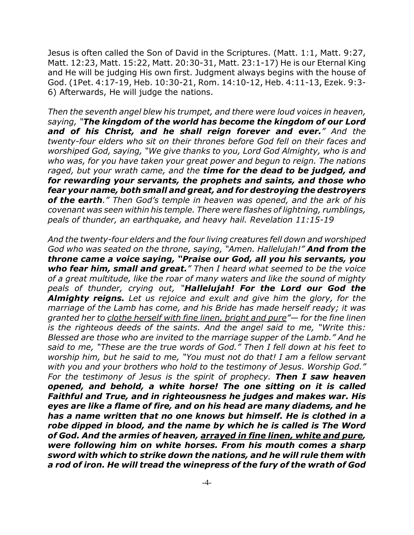Jesus is often called the Son of David in the Scriptures. (Matt. 1:1, Matt. 9:27, Matt. 12:23, Matt. 15:22, Matt. 20:30-31, Matt. 23:1-17) He is our Eternal King and He will be judging His own first. Judgment always begins with the house of God. (1Pet. 4:17-19, Heb. 10:30-21, Rom. 14:10-12, Heb. 4:11-13, Ezek. 9:3- 6) Afterwards, He will judge the nations.

*Then the seventh angel blew his trumpet, and there were loud voices in heaven, saying, "The kingdom of the world has become the kingdom of our Lord and of his Christ, and he shall reign forever and ever." And the twenty-four elders who sit on their thrones before God fell on their faces and worshiped God, saying, "We give thanks to you, Lord God Almighty, who is and who was, for you have taken your great power and begun to reign. The nations raged, but your wrath came, and the time for the dead to be judged, and for rewarding your servants, the prophets and saints, and those who fear your name, both small and great, and for destroying the destroyers of the earth." Then God's temple in heaven was opened, and the ark of his covenant was seen within his temple. There were flashes of lightning, rumblings, peals of thunder, an earthquake, and heavy hail. Revelation 11:15-19*

*And the twenty-four elders and the four living creatures fell down and worshiped God who was seated on the throne, saying, "Amen. Hallelujah!" And from the throne came a voice saying, "Praise our God, all you his servants, you who fear him, small and great." Then I heard what seemed to be the voice of a great multitude, like the roar of many waters and like the sound of mighty peals of thunder, crying out, "Hallelujah! For the Lord our God the Almighty reigns. Let us rejoice and exult and give him the glory, for the marriage of the Lamb has come, and his Bride has made herself ready; it was granted her to clothe herself with fine linen, bright and pure"— for the fine linen is the righteous deeds of the saints. And the angel said to me, "Write this: Blessed are those who are invited to the marriage supper of the Lamb." And he said to me, "These are the true words of God." Then I fell down at his feet to worship him, but he said to me, "You must not do that! I am a fellow servant with you and your brothers who hold to the testimony of Jesus. Worship God." For the testimony of Jesus is the spirit of prophecy. Then I saw heaven opened, and behold, a white horse! The one sitting on it is called Faithful and True, and in righteousness he judges and makes war. His eyes are like a flame of fire, and on his head are many diadems, and he has a name written that no one knows but himself. He is clothed in a robe dipped in blood, and the name by which he is called is The Word of God. And the armies of heaven, arrayed in fine linen, white and pure, were following him on white horses. From his mouth comes a sharp sword with which to strike down the nations, and he will rule them with a rod of iron. He will tread the winepress of the fury of the wrath of God*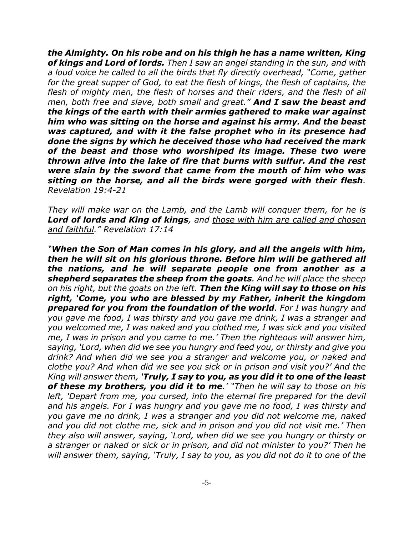*the Almighty. On his robe and on his thigh he has a name written, King of kings and Lord of lords. Then I saw an angel standing in the sun, and with a loud voice he called to all the birds that fly directly overhead, "Come, gather for the great supper of God, to eat the flesh of kings, the flesh of captains, the flesh of mighty men, the flesh of horses and their riders, and the flesh of all men, both free and slave, both small and great." And I saw the beast and the kings of the earth with their armies gathered to make war against him who was sitting on the horse and against his army. And the beast was captured, and with it the false prophet who in its presence had done the signs by which he deceived those who had received the mark of the beast and those who worshiped its image. These two were thrown alive into the lake of fire that burns with sulfur. And the rest were slain by the sword that came from the mouth of him who was sitting on the horse, and all the birds were gorged with their flesh. Revelation 19:4-21*

*They will make war on the Lamb, and the Lamb will conquer them, for he is Lord of lords and King of kings, and those with him are called and chosen and faithful." Revelation 17:14*

*"When the Son of Man comes in his glory, and all the angels with him, then he will sit on his glorious throne. Before him will be gathered all the nations, and he will separate people one from another as a shepherd separates the sheep from the goats. And he will place the sheep on his right, but the goats on the left. Then the King will say to those on his right, 'Come, you who are blessed by my Father, inherit the kingdom prepared for you from the foundation of the world. For I was hungry and you gave me food, I was thirsty and you gave me drink, I was a stranger and you welcomed me, I was naked and you clothed me, I was sick and you visited me, I was in prison and you came to me.' Then the righteous will answer him, saying, 'Lord, when did we see you hungry and feed you, or thirsty and give you drink? And when did we see you a stranger and welcome you, or naked and clothe you? And when did we see you sick or in prison and visit you?' And the King will answer them, 'Truly, I say to you, as you did it to one of the least of these my brothers, you did it to me.' "Then he will say to those on his left, 'Depart from me, you cursed, into the eternal fire prepared for the devil and his angels. For I was hungry and you gave me no food, I was thirsty and you gave me no drink, I was a stranger and you did not welcome me, naked and you did not clothe me, sick and in prison and you did not visit me.' Then they also will answer, saying, 'Lord, when did we see you hungry or thirsty or a stranger or naked or sick or in prison, and did not minister to you?' Then he will answer them, saying, 'Truly, I say to you, as you did not do it to one of the*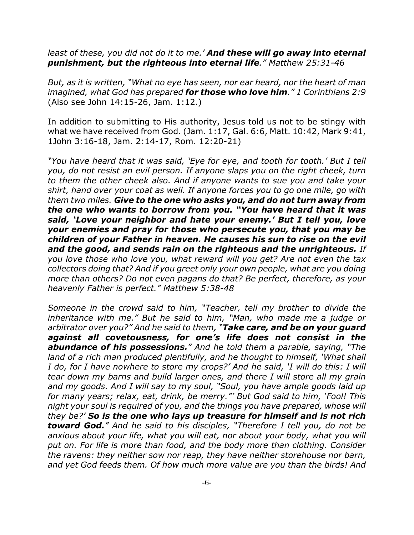*least of these, you did not do it to me.' And these will go away into eternal punishment, but the righteous into eternal life." Matthew 25:31-46*

*But, as it is written, "What no eye has seen, nor ear heard, nor the heart of man imagined, what God has prepared for those who love him." 1 Corinthians 2:9* (Also see John 14:15-26, Jam. 1:12.)

In addition to submitting to His authority, Jesus told us not to be stingy with what we have received from God. (Jam. 1:17, Gal. 6:6, Matt. 10:42, Mark 9:41, 1John 3:16-18, Jam. 2:14-17, Rom. 12:20-21)

*"You have heard that it was said, 'Eye for eye, and tooth for tooth.' But I tell you, do not resist an evil person. If anyone slaps you on the right cheek, turn to them the other cheek also. And if anyone wants to sue you and take your shirt, hand over your coat as well. If anyone forces you to go one mile, go with them two miles. Give to the one who asks you, and do not turn away from the one who wants to borrow from you. "You have heard that it was said, 'Love your neighbor and hate your enemy.' But I tell you, love your enemies and pray for those who persecute you, that you may be children of your Father in heaven. He causes his sun to rise on the evil and the good, and sends rain on the righteous and the unrighteous. If you love those who love you, what reward will you get? Are not even the tax collectors doing that? And if you greet only your own people, what are you doing more than others? Do not even pagans do that? Be perfect, therefore, as your heavenly Father is perfect." Matthew 5:38-48*

*Someone in the crowd said to him, "Teacher, tell my brother to divide the inheritance with me." But he said to him, "Man, who made me a judge or arbitrator over you?" And he said to them, "Take care, and be on your guard against all covetousness, for one's life does not consist in the abundance of his possessions." And he told them a parable, saying, "The* land of a rich man produced plentifully, and he thought to himself, 'What shall' *I do, for I have nowhere to store my crops?' And he said, 'I will do this: I will tear down my barns and build larger ones, and there I will store all my grain and my goods. And I will say to my soul, "Soul, you have ample goods laid up for many years; relax, eat, drink, be merry."' But God said to him, 'Fool! This night your soul is required of you, and the things you have prepared, whose will they be?' So is the one who lays up treasure for himself and is not rich toward God." And he said to his disciples, "Therefore I tell you, do not be anxious about your life, what you will eat, nor about your body, what you will put on. For life is more than food, and the body more than clothing. Consider the ravens: they neither sow nor reap, they have neither storehouse nor barn, and yet God feeds them. Of how much more value are you than the birds! And*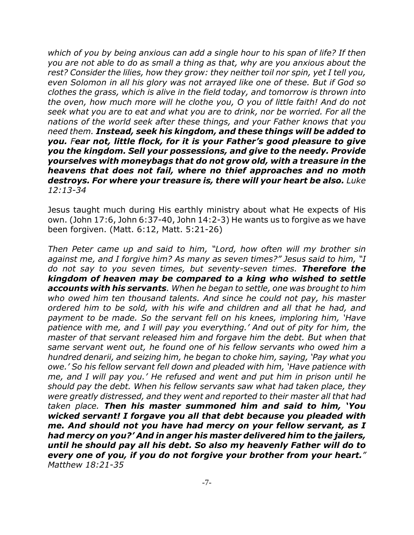*which of you by being anxious can add a single hour to his span of life? If then you are not able to do as small a thing as that, why are you anxious about the rest? Consider the lilies, how they grow: they neither toil nor spin, yet I tell you, even Solomon in all his glory was not arrayed like one of these. But if God so clothes the grass, which is alive in the field today, and tomorrow is thrown into the oven, how much more will he clothe you, O you of little faith! And do not seek what you are to eat and what you are to drink, nor be worried. For all the nations of the world seek after these things, and your Father knows that you need them. Instead, seek his kingdom, and these things will be added to you. Fear not, little flock, for it is your Father's good pleasure to give you the kingdom. Sell your possessions, and give to the needy. Provide yourselves with moneybags that do not grow old, with a treasure in the heavens that does not fail, where no thief approaches and no moth destroys. For where your treasure is, there will your heart be also. Luke 12:13-34*

Jesus taught much during His earthly ministry about what He expects of His own. (John 17:6, John 6:37-40, John 14:2-3) He wants us to forgive as we have been forgiven. (Matt. 6:12, Matt. 5:21-26)

*Then Peter came up and said to him, "Lord, how often will my brother sin against me, and I forgive him? As many as seven times?" Jesus said to him, "I do not say to you seven times, but seventy-seven times. Therefore the kingdom of heaven may be compared to a king who wished to settle accounts with his servants. When he began to settle, one was brought to him who owed him ten thousand talents. And since he could not pay, his master ordered him to be sold, with his wife and children and all that he had, and payment to be made. So the servant fell on his knees, imploring him, 'Have patience with me, and I will pay you everything.' And out of pity for him, the master of that servant released him and forgave him the debt. But when that same servant went out, he found one of his fellow servants who owed him a hundred denarii, and seizing him, he began to choke him, saying, 'Pay what you owe.' So his fellow servant fell down and pleaded with him, 'Have patience with me, and I will pay you.' He refused and went and put him in prison until he should pay the debt. When his fellow servants saw what had taken place, they were greatly distressed, and they went and reported to their master all that had taken place. Then his master summoned him and said to him, 'You wicked servant! I forgave you all that debt because you pleaded with me. And should not you have had mercy on your fellow servant, as I had mercy on you?' And in anger his master delivered him to the jailers, until he should pay all his debt. So also my heavenly Father will do to every one of you, if you do not forgive your brother from your heart." Matthew 18:21-35*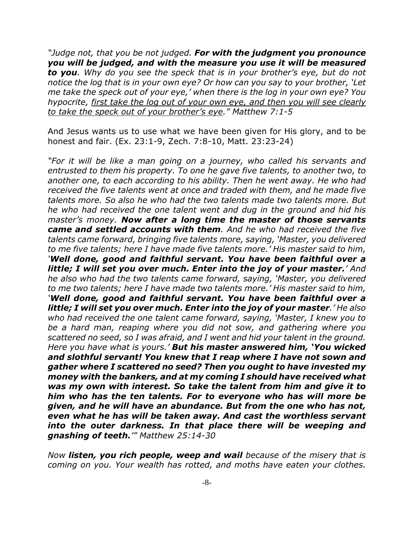*"Judge not, that you be not judged. For with the judgment you pronounce you will be judged, and with the measure you use it will be measured to you. Why do you see the speck that is in your brother's eye, but do not notice the log that is in your own eye? Or how can you say to your brother, 'Let me take the speck out of your eye,' when there is the log in your own eye? You hypocrite, first take the log out of your own eye, and then you will see clearly to take the speck out of your brother's eye." Matthew 7:1-5*

And Jesus wants us to use what we have been given for His glory, and to be honest and fair. (Ex. 23:1-9, Zech. 7:8-10, Matt. 23:23-24)

*"For it will be like a man going on a journey, who called his servants and entrusted to them his property. To one he gave five talents, to another two, to another one, to each according to his ability. Then he went away. He who had received the five talents went at once and traded with them, and he made five talents more. So also he who had the two talents made two talents more. But he who had received the one talent went and dug in the ground and hid his master's money. Now after a long time the master of those servants came and settled accounts with them. And he who had received the five talents came forward, bringing five talents more, saying, 'Master, you delivered to me five talents; here I have made five talents more.' His master said to him, 'Well done, good and faithful servant. You have been faithful over a little; I will set you over much. Enter into the joy of your master.' And he also who had the two talents came forward, saying, 'Master, you delivered to me two talents; here I have made two talents more.' His master said to him, 'Well done, good and faithful servant. You have been faithful over a little; I will set you over much. Enter into the joy of your master.' He also who had received the one talent came forward, saying, 'Master, I knew you to be a hard man, reaping where you did not sow, and gathering where you scattered no seed, so I was afraid, and I went and hid your talent in the ground. Here you have what is yours.' But his master answered him, 'You wicked and slothful servant! You knew that I reap where I have not sown and gather where I scattered no seed? Then you ought to have invested my money with the bankers, and at my coming I should have received what was my own with interest. So take the talent from him and give it to him who has the ten talents. For to everyone who has will more be given, and he will have an abundance. But from the one who has not, even what he has will be taken away. And cast the worthless servant into the outer darkness. In that place there will be weeping and gnashing of teeth.'" Matthew 25:14-30*

*Now listen, you rich people, weep and wail because of the misery that is coming on you. Your wealth has rotted, and moths have eaten your clothes.*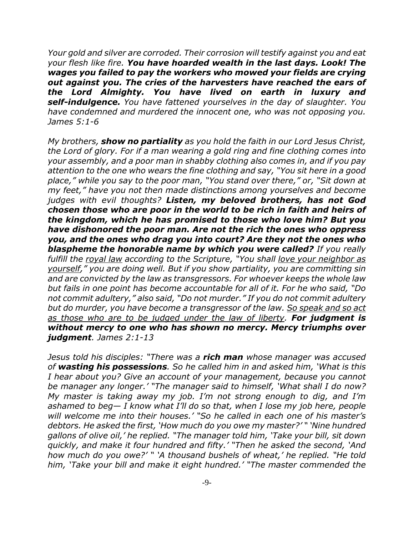*Your gold and silver are corroded. Their corrosion will testify against you and eat your flesh like fire. You have hoarded wealth in the last days. Look! The wages you failed to pay the workers who mowed your fields are crying out against you. The cries of the harvesters have reached the ears of the Lord Almighty. You have lived on earth in luxury and self-indulgence. You have fattened yourselves in the day of slaughter. You have condemned and murdered the innocent one, who was not opposing you. James 5:1-6*

*My brothers, show no partiality as you hold the faith in our Lord Jesus Christ, the Lord of glory. For if a man wearing a gold ring and fine clothing comes into your assembly, and a poor man in shabby clothing also comes in, and if you pay attention to the one who wears the fine clothing and say, "You sit here in a good place," while you say to the poor man, "You stand over there," or, "Sit down at my feet," have you not then made distinctions among yourselves and become judges with evil thoughts? Listen, my beloved brothers, has not God chosen those who are poor in the world to be rich in faith and heirs of the kingdom, which he has promised to those who love him? But you have dishonored the poor man. Are not the rich the ones who oppress you, and the ones who drag you into court? Are they not the ones who blaspheme the honorable name by which you were called? If you really fulfill the royal law according to the Scripture, "You shall love your neighbor as yourself," you are doing well. But if you show partiality, you are committing sin and are convicted by the law as transgressors. For whoever keeps the whole law but fails in one point has become accountable for all of it. For he who said, "Do not commit adultery," also said, "Do not murder." If you do not commit adultery but do murder, you have become a transgressor of the law. So speak and so act as those who are to be judged under the law of liberty. For judgment is without mercy to one who has shown no mercy. Mercy triumphs over judgment. James 2:1-13*

*Jesus told his disciples: "There was a rich man whose manager was accused of wasting his possessions. So he called him in and asked him, 'What is this I hear about you? Give an account of your management, because you cannot be manager any longer.' "The manager said to himself, 'What shall I do now? My master is taking away my job. I'm not strong enough to dig, and I'm ashamed to beg— I know what I'll do so that, when I lose my job here, people will welcome me into their houses.' "So he called in each one of his master's debtors. He asked the first, 'How much do you owe my master?' " 'Nine hundred gallons of olive oil,' he replied. "The manager told him, 'Take your bill, sit down quickly, and make it four hundred and fifty.' "Then he asked the second, 'And how much do you owe?' " 'A thousand bushels of wheat,' he replied. "He told him, 'Take your bill and make it eight hundred.' "The master commended the*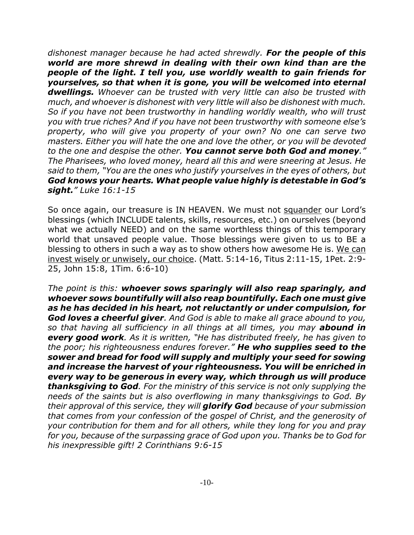*dishonest manager because he had acted shrewdly. For the people of this world are more shrewd in dealing with their own kind than are the people of the light. I tell you, use worldly wealth to gain friends for yourselves, so that when it is gone, you will be welcomed into eternal dwellings. Whoever can be trusted with very little can also be trusted with much, and whoever is dishonest with very little will also be dishonest with much. So if you have not been trustworthy in handling worldly wealth, who will trust you with true riches? And if you have not been trustworthy with someone else's property, who will give you property of your own? No one can serve two masters. Either you will hate the one and love the other, or you will be devoted to the one and despise the other. You cannot serve both God and money." The Pharisees, who loved money, heard all this and were sneering at Jesus. He said to them, "You are the ones who justify yourselves in the eyes of others, but God knows your hearts. What people value highly is detestable in God's sight." Luke 16:1-15*

So once again, our treasure is IN HEAVEN. We must not squander our Lord's blessings (which INCLUDE talents, skills, resources, etc.) on ourselves (beyond what we actually NEED) and on the same worthless things of this temporary world that unsaved people value. Those blessings were given to us to BE a blessing to others in such a way as to show others how awesome He is. We can invest wisely or unwisely, our choice. (Matt. 5:14-16, Titus 2:11-15, 1Pet. 2:9- 25, John 15:8, 1Tim. 6:6-10)

*The point is this: whoever sows sparingly will also reap sparingly, and whoever sows bountifully will also reap bountifully. Each one must give as he has decided in his heart, not reluctantly or under compulsion, for God loves a cheerful giver. And God is able to make all grace abound to you, so that having all sufficiency in all things at all times, you may abound in every good work. As it is written, "He has distributed freely, he has given to the poor; his righteousness endures forever." He who supplies seed to the sower and bread for food will supply and multiply your seed for sowing and increase the harvest of your righteousness. You will be enriched in every way to be generous in every way, which through us will produce thanksgiving to God. For the ministry of this service is not only supplying the needs of the saints but is also overflowing in many thanksgivings to God. By their approval of this service, they will glorify God because of your submission that comes from your confession of the gospel of Christ, and the generosity of your contribution for them and for all others, while they long for you and pray for you, because of the surpassing grace of God upon you. Thanks be to God for his inexpressible gift! 2 Corinthians 9:6-15*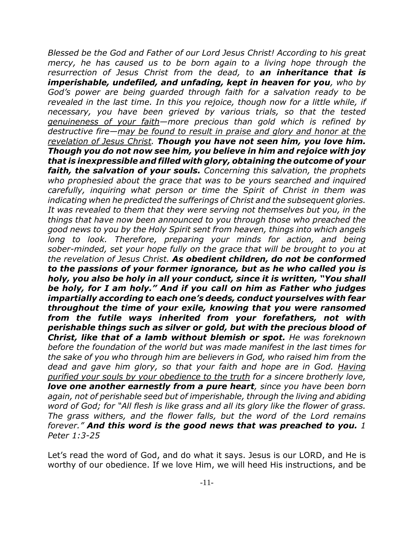*Blessed be the God and Father of our Lord Jesus Christ! According to his great mercy, he has caused us to be born again to a living hope through the resurrection of Jesus Christ from the dead, to an inheritance that is imperishable, undefiled, and unfading, kept in heaven for you, who by God's power are being guarded through faith for a salvation ready to be revealed in the last time. In this you rejoice, though now for a little while, if necessary, you have been grieved by various trials, so that the tested genuineness of your faith—more precious than gold which is refined by destructive fire—may be found to result in praise and glory and honor at the revelation of Jesus Christ. Though you have not seen him, you love him. Though you do not now see him, you believe in him and rejoice with joy that is inexpressible and filled with glory, obtaining the outcome of your faith, the salvation of your souls. Concerning this salvation, the prophets who prophesied about the grace that was to be yours searched and inquired carefully, inquiring what person or time the Spirit of Christ in them was indicating when he predicted the sufferings of Christ and the subsequent glories. It was revealed to them that they were serving not themselves but you, in the things that have now been announced to you through those who preached the good news to you by the Holy Spirit sent from heaven, things into which angels long to look. Therefore, preparing your minds for action, and being sober-minded, set your hope fully on the grace that will be brought to you at the revelation of Jesus Christ. As obedient children, do not be conformed to the passions of your former ignorance, but as he who called you is holy, you also be holy in all your conduct, since it is written, "You shall be holy, for I am holy." And if you call on him as Father who judges impartially according to each one's deeds, conduct yourselves with fear throughout the time of your exile, knowing that you were ransomed from the futile ways inherited from your forefathers, not with perishable things such as silver or gold, but with the precious blood of Christ, like that of a lamb without blemish or spot. He was foreknown before the foundation of the world but was made manifest in the last times for the sake of you who through him are believers in God, who raised him from the dead and gave him glory, so that your faith and hope are in God. Having purified your souls by your obedience to the truth for a sincere brotherly love, love one another earnestly from a pure heart, since you have been born again, not of perishable seed but of imperishable, through the living and abiding word of God; for "All flesh is like grass and all its glory like the flower of grass. The grass withers, and the flower falls, but the word of the Lord remains forever." And this word is the good news that was preached to you. 1 Peter 1:3-25*

Let's read the word of God, and do what it says. Jesus is our LORD, and He is worthy of our obedience. If we love Him, we will heed His instructions, and be